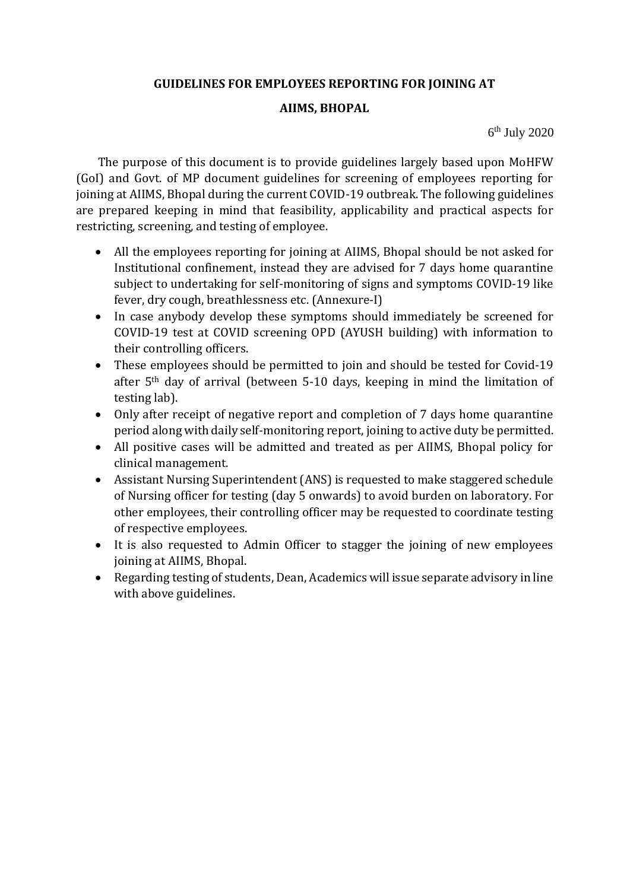### **GUIDELINES FOR EMPLOYEES REPORTING FOR JOINING AT**

#### **AIIMS, BHOPAL**

6 th July 2020

The purpose of this document is to provide guidelines largely based upon MoHFW (GoI) and Govt. of MP document guidelines for screening of employees reporting for joining at AIIMS, Bhopal during the current COVID-19 outbreak. The following guidelines are prepared keeping in mind that feasibility, applicability and practical aspects for restricting, screening, and testing of employee.

- All the employees reporting for joining at AIIMS, Bhopal should be not asked for Institutional confinement, instead they are advised for 7 days home quarantine subject to undertaking for self-monitoring of signs and symptoms COVID-19 like fever, dry cough, breathlessness etc. (Annexure-I)
- In case anybody develop these symptoms should immediately be screened for COVID-19 test at COVID screening OPD (AYUSH building) with information to their controlling officers.
- These employees should be permitted to join and should be tested for Covid-19 after 5th day of arrival (between 5-10 days, keeping in mind the limitation of testing lab).
- Only after receipt of negative report and completion of 7 days home quarantine period along with daily self-monitoring report, joining to active duty be permitted.
- All positive cases will be admitted and treated as per AIIMS, Bhopal policy for clinical management.
- Assistant Nursing Superintendent (ANS) is requested to make staggered schedule of Nursing officer for testing (day 5 onwards) to avoid burden on laboratory. For other employees, their controlling officer may be requested to coordinate testing of respective employees.
- It is also requested to Admin Officer to stagger the joining of new employees joining at AIIMS, Bhopal.
- Regarding testing of students, Dean, Academics will issue separate advisory in line with above guidelines.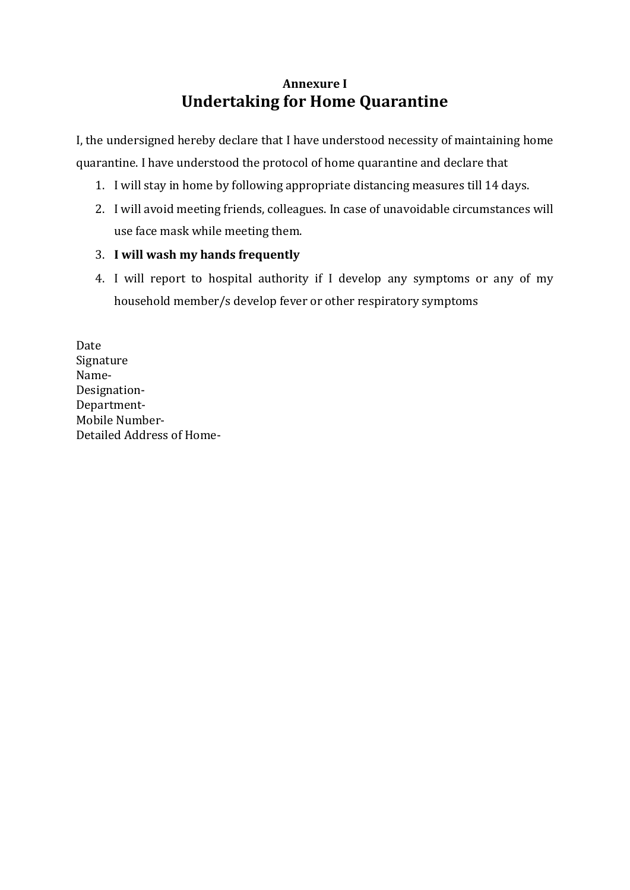# **Annexure I Undertaking for Home Quarantine**

I, the undersigned hereby declare that I have understood necessity of maintaining home quarantine. I have understood the protocol of home quarantine and declare that

- 1. I will stay in home by following appropriate distancing measures till 14 days.
- 2. I will avoid meeting friends, colleagues. In case of unavoidable circumstances will use face mask while meeting them.

### 3. **I will wash my hands frequently**

4. I will report to hospital authority if I develop any symptoms or any of my household member/s develop fever or other respiratory symptoms

Date Signature Name-Designation-Department-Mobile Number-Detailed Address of Home-